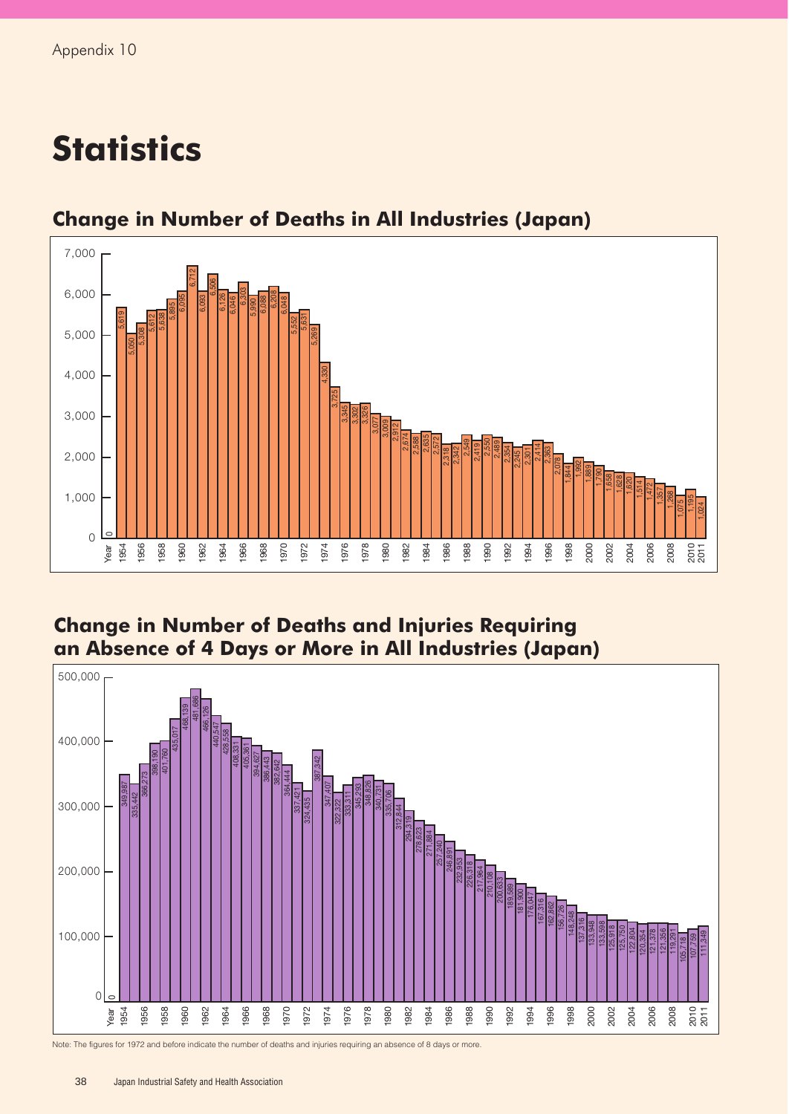## **Statistics**



## **Change in Number of Deaths in All Industries (Japan)**

## **Change in Number of Deaths and Injuries Requiring an Absence of 4 Days or More in All Industries (Japan)**



Note: The figures for 1972 and before indicate the number of deaths and injuries requiring an absence of 8 days or more.